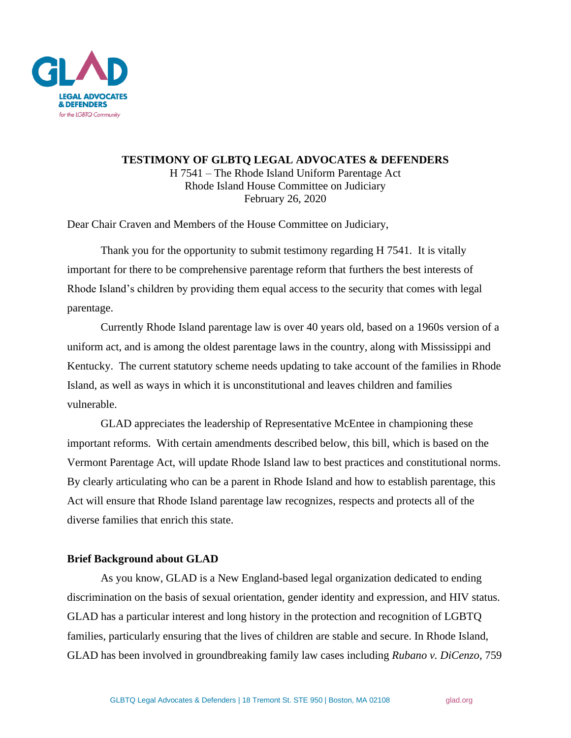

**TESTIMONY OF GLBTQ LEGAL ADVOCATES & DEFENDERS** H 7541 – The Rhode Island Uniform Parentage Act Rhode Island House Committee on Judiciary February 26, 2020

Dear Chair Craven and Members of the House Committee on Judiciary,

Thank you for the opportunity to submit testimony regarding H 7541. It is vitally important for there to be comprehensive parentage reform that furthers the best interests of Rhode Island's children by providing them equal access to the security that comes with legal parentage.

Currently Rhode Island parentage law is over 40 years old, based on a 1960s version of a uniform act, and is among the oldest parentage laws in the country, along with Mississippi and Kentucky. The current statutory scheme needs updating to take account of the families in Rhode Island, as well as ways in which it is unconstitutional and leaves children and families vulnerable.

GLAD appreciates the leadership of Representative McEntee in championing these important reforms. With certain amendments described below, this bill, which is based on the Vermont Parentage Act, will update Rhode Island law to best practices and constitutional norms. By clearly articulating who can be a parent in Rhode Island and how to establish parentage, this Act will ensure that Rhode Island parentage law recognizes, respects and protects all of the diverse families that enrich this state.

# **Brief Background about GLAD**

As you know, GLAD is a New England-based legal organization dedicated to ending discrimination on the basis of sexual orientation, gender identity and expression, and HIV status. GLAD has a particular interest and long history in the protection and recognition of LGBTQ families, particularly ensuring that the lives of children are stable and secure. In Rhode Island, GLAD has been involved in groundbreaking family law cases including *Rubano v. DiCenzo*, 759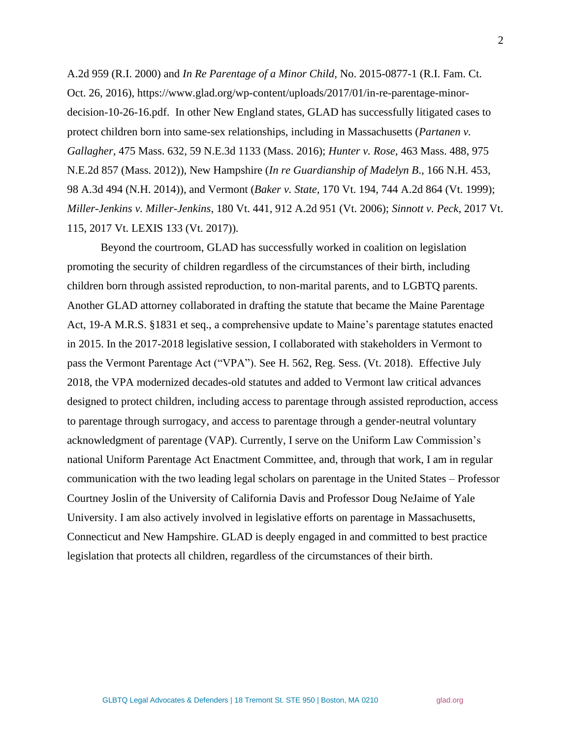A.2d 959 (R.I. 2000) and *In Re Parentage of a Minor Child*, No. 2015-0877-1 (R.I. Fam. Ct. Oct. 26, 2016), https://www.glad.org/wp-content/uploads/2017/01/in-re-parentage-minordecision-10-26-16.pdf. In other New England states, GLAD has successfully litigated cases to protect children born into same-sex relationships, including in Massachusetts (*Partanen v. Gallagher*, 475 Mass. 632, 59 N.E.3d 1133 (Mass. 2016); *Hunter v. Rose*, 463 Mass. 488, 975 N.E.2d 857 (Mass. 2012)), New Hampshire (*In re Guardianship of Madelyn B*., 166 N.H. 453, 98 A.3d 494 (N.H. 2014)), and Vermont (*Baker v. State,* 170 Vt. 194, 744 A.2d 864 (Vt. 1999); *Miller-Jenkins v. Miller-Jenkins*, 180 Vt. 441, 912 A.2d 951 (Vt. 2006); *Sinnott v. Peck*, 2017 Vt. 115, 2017 Vt. LEXIS 133 (Vt. 2017)).

Beyond the courtroom, GLAD has successfully worked in coalition on legislation promoting the security of children regardless of the circumstances of their birth, including children born through assisted reproduction, to non-marital parents, and to LGBTQ parents. Another GLAD attorney collaborated in drafting the statute that became the Maine Parentage Act, 19-A M.R.S. §1831 et seq., a comprehensive update to Maine's parentage statutes enacted in 2015. In the 2017-2018 legislative session, I collaborated with stakeholders in Vermont to pass the Vermont Parentage Act ("VPA"). See H. 562, Reg. Sess. (Vt. 2018). Effective July 2018, the VPA modernized decades-old statutes and added to Vermont law critical advances designed to protect children, including access to parentage through assisted reproduction, access to parentage through surrogacy, and access to parentage through a gender-neutral voluntary acknowledgment of parentage (VAP). Currently, I serve on the Uniform Law Commission's national Uniform Parentage Act Enactment Committee, and, through that work, I am in regular communication with the two leading legal scholars on parentage in the United States – Professor Courtney Joslin of the University of California Davis and Professor Doug NeJaime of Yale University. I am also actively involved in legislative efforts on parentage in Massachusetts, Connecticut and New Hampshire. GLAD is deeply engaged in and committed to best practice legislation that protects all children, regardless of the circumstances of their birth.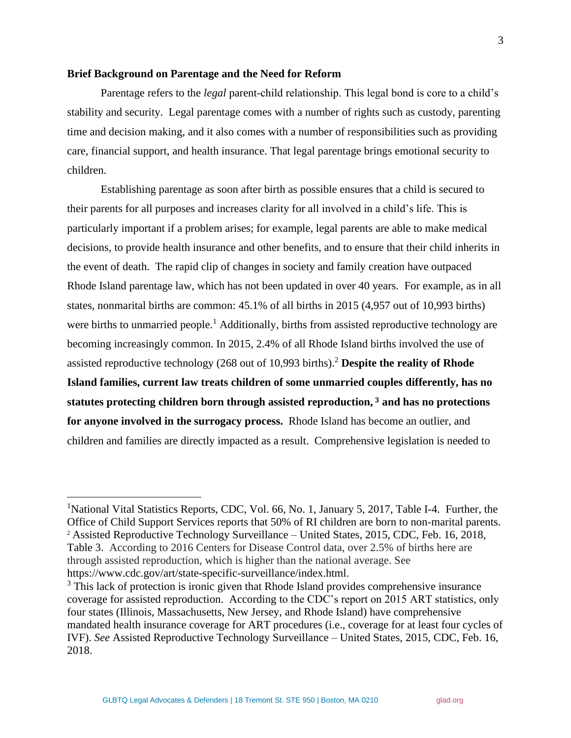## **Brief Background on Parentage and the Need for Reform**

Parentage refers to the *legal* parent-child relationship. This legal bond is core to a child's stability and security. Legal parentage comes with a number of rights such as custody, parenting time and decision making, and it also comes with a number of responsibilities such as providing care, financial support, and health insurance. That legal parentage brings emotional security to children.

Establishing parentage as soon after birth as possible ensures that a child is secured to their parents for all purposes and increases clarity for all involved in a child's life. This is particularly important if a problem arises; for example, legal parents are able to make medical decisions, to provide health insurance and other benefits, and to ensure that their child inherits in the event of death. The rapid clip of changes in society and family creation have outpaced Rhode Island parentage law, which has not been updated in over 40 years. For example, as in all states, nonmarital births are common: 45.1% of all births in 2015 (4,957 out of 10,993 births) were births to unmarried people.<sup>1</sup> Additionally, births from assisted reproductive technology are becoming increasingly common. In 2015, 2.4% of all Rhode Island births involved the use of assisted reproductive technology (268 out of 10,993 births).<sup>2</sup> **Despite the reality of Rhode Island families, current law treats children of some unmarried couples differently, has no statutes protecting children born through assisted reproduction, <sup>3</sup> and has no protections for anyone involved in the surrogacy process.** Rhode Island has become an outlier, and children and families are directly impacted as a result. Comprehensive legislation is needed to

<sup>&</sup>lt;sup>1</sup>National Vital Statistics Reports, CDC, Vol. 66, No. 1, January 5, 2017, Table I-4. Further, the Office of Child Support Services reports that 50% of RI children are born to non-marital parents. <sup>2</sup> Assisted Reproductive Technology Surveillance – United States, 2015, CDC, Feb. 16, 2018, Table 3. According to 2016 Centers for Disease Control data, over 2.5% of births here are through assisted reproduction, which is higher than the national average. See https://www.cdc.gov/art/state-specific-surveillance/index.html.

<sup>&</sup>lt;sup>3</sup> This lack of protection is ironic given that Rhode Island provides comprehensive insurance coverage for assisted reproduction. According to the CDC's report on 2015 ART statistics, only four states (Illinois, Massachusetts, New Jersey, and Rhode Island) have comprehensive mandated health insurance coverage for ART procedures (i.e., coverage for at least four cycles of IVF). *See* Assisted Reproductive Technology Surveillance – United States, 2015, CDC, Feb. 16, 2018.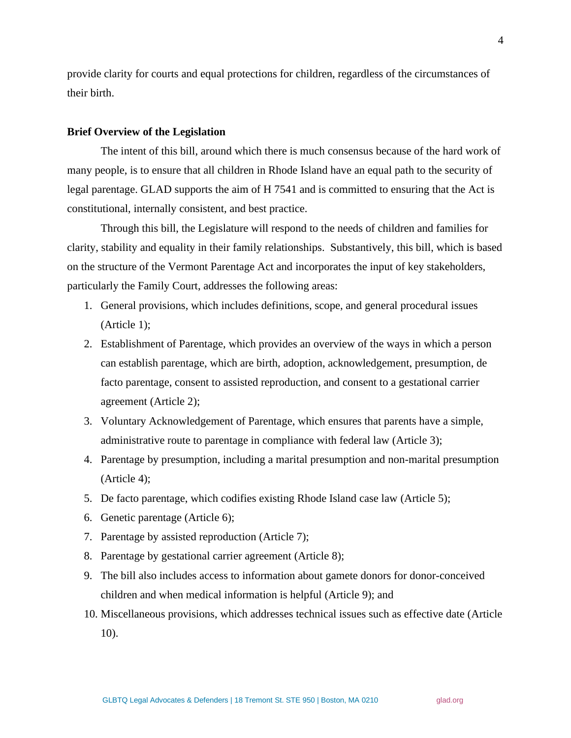provide clarity for courts and equal protections for children, regardless of the circumstances of their birth.

#### **Brief Overview of the Legislation**

The intent of this bill, around which there is much consensus because of the hard work of many people, is to ensure that all children in Rhode Island have an equal path to the security of legal parentage. GLAD supports the aim of H 7541 and is committed to ensuring that the Act is constitutional, internally consistent, and best practice.

Through this bill, the Legislature will respond to the needs of children and families for clarity, stability and equality in their family relationships. Substantively, this bill, which is based on the structure of the Vermont Parentage Act and incorporates the input of key stakeholders, particularly the Family Court, addresses the following areas:

- 1. General provisions, which includes definitions, scope, and general procedural issues (Article 1);
- 2. Establishment of Parentage, which provides an overview of the ways in which a person can establish parentage, which are birth, adoption, acknowledgement, presumption, de facto parentage, consent to assisted reproduction, and consent to a gestational carrier agreement (Article 2);
- 3. Voluntary Acknowledgement of Parentage, which ensures that parents have a simple, administrative route to parentage in compliance with federal law (Article 3);
- 4. Parentage by presumption, including a marital presumption and non-marital presumption (Article 4);
- 5. De facto parentage, which codifies existing Rhode Island case law (Article 5);
- 6. Genetic parentage (Article 6);
- 7. Parentage by assisted reproduction (Article 7);
- 8. Parentage by gestational carrier agreement (Article 8);
- 9. The bill also includes access to information about gamete donors for donor-conceived children and when medical information is helpful (Article 9); and
- 10. Miscellaneous provisions, which addresses technical issues such as effective date (Article 10).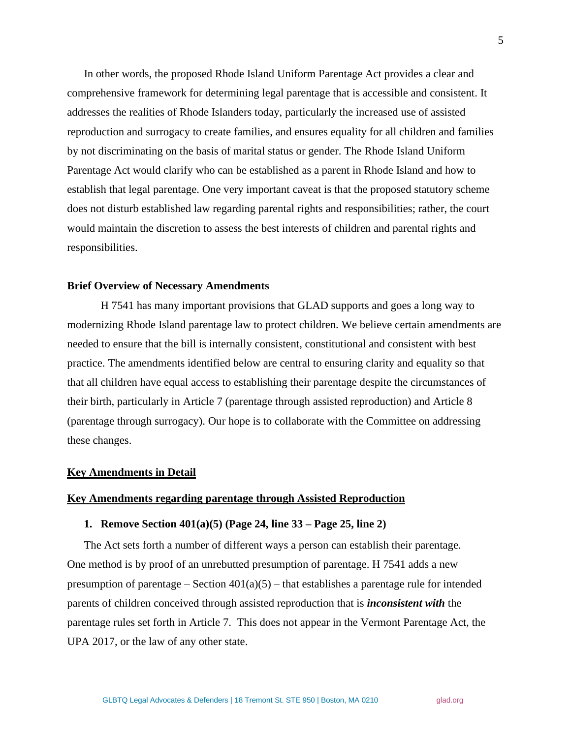In other words, the proposed Rhode Island Uniform Parentage Act provides a clear and comprehensive framework for determining legal parentage that is accessible and consistent. It addresses the realities of Rhode Islanders today, particularly the increased use of assisted reproduction and surrogacy to create families, and ensures equality for all children and families by not discriminating on the basis of marital status or gender. The Rhode Island Uniform Parentage Act would clarify who can be established as a parent in Rhode Island and how to establish that legal parentage. One very important caveat is that the proposed statutory scheme does not disturb established law regarding parental rights and responsibilities; rather, the court would maintain the discretion to assess the best interests of children and parental rights and responsibilities.

#### **Brief Overview of Necessary Amendments**

H 7541 has many important provisions that GLAD supports and goes a long way to modernizing Rhode Island parentage law to protect children. We believe certain amendments are needed to ensure that the bill is internally consistent, constitutional and consistent with best practice. The amendments identified below are central to ensuring clarity and equality so that that all children have equal access to establishing their parentage despite the circumstances of their birth, particularly in Article 7 (parentage through assisted reproduction) and Article 8 (parentage through surrogacy). Our hope is to collaborate with the Committee on addressing these changes.

#### **Key Amendments in Detail**

# **Key Amendments regarding parentage through Assisted Reproduction**

### **1. Remove Section 401(a)(5) (Page 24, line 33 – Page 25, line 2)**

The Act sets forth a number of different ways a person can establish their parentage. One method is by proof of an unrebutted presumption of parentage. H 7541 adds a new presumption of parentage – Section  $401(a)(5)$  – that establishes a parentage rule for intended parents of children conceived through assisted reproduction that is *inconsistent with* the parentage rules set forth in Article 7. This does not appear in the Vermont Parentage Act, the UPA 2017, or the law of any other state.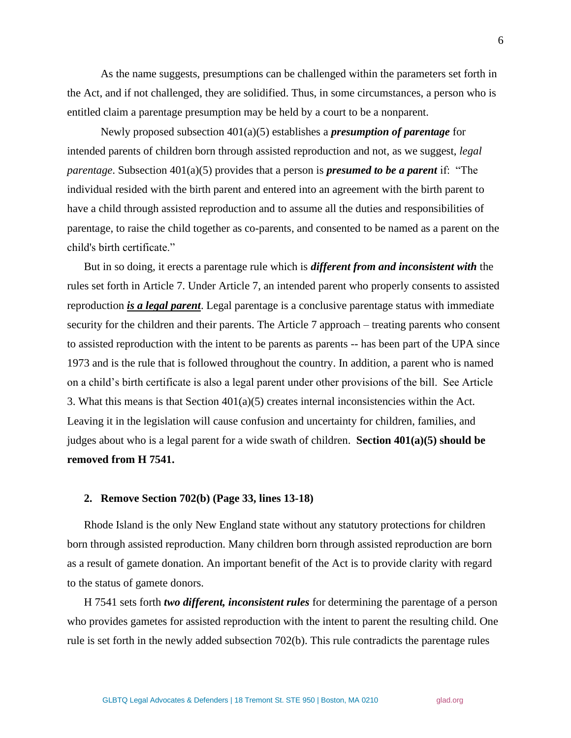As the name suggests, presumptions can be challenged within the parameters set forth in the Act, and if not challenged, they are solidified. Thus, in some circumstances, a person who is entitled claim a parentage presumption may be held by a court to be a nonparent.

Newly proposed subsection 401(a)(5) establishes a *presumption of parentage* for intended parents of children born through assisted reproduction and not, as we suggest, *legal parentage*. Subsection 401(a)(5) provides that a person is *presumed to be a parent* if: "The individual resided with the birth parent and entered into an agreement with the birth parent to have a child through assisted reproduction and to assume all the duties and responsibilities of parentage, to raise the child together as co-parents, and consented to be named as a parent on the child's birth certificate."

But in so doing, it erects a parentage rule which is *different from and inconsistent with* the rules set forth in Article 7. Under Article 7, an intended parent who properly consents to assisted reproduction *is a legal parent*. Legal parentage is a conclusive parentage status with immediate security for the children and their parents. The Article 7 approach – treating parents who consent to assisted reproduction with the intent to be parents as parents -- has been part of the UPA since 1973 and is the rule that is followed throughout the country. In addition, a parent who is named on a child's birth certificate is also a legal parent under other provisions of the bill. See Article 3. What this means is that Section 401(a)(5) creates internal inconsistencies within the Act. Leaving it in the legislation will cause confusion and uncertainty for children, families, and judges about who is a legal parent for a wide swath of children. **Section 401(a)(5) should be removed from H 7541.**

## **2. Remove Section 702(b) (Page 33, lines 13-18)**

Rhode Island is the only New England state without any statutory protections for children born through assisted reproduction. Many children born through assisted reproduction are born as a result of gamete donation. An important benefit of the Act is to provide clarity with regard to the status of gamete donors.

H 7541 sets forth *two different, inconsistent rules* for determining the parentage of a person who provides gametes for assisted reproduction with the intent to parent the resulting child. One rule is set forth in the newly added subsection 702(b). This rule contradicts the parentage rules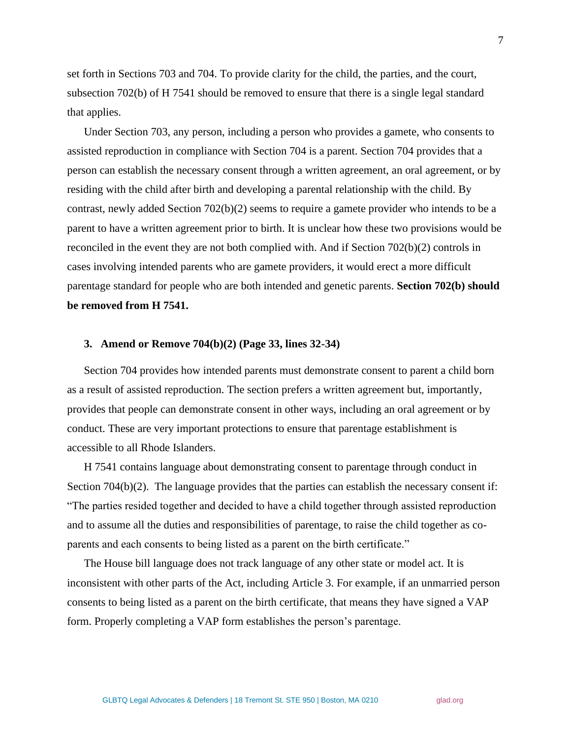set forth in Sections 703 and 704. To provide clarity for the child, the parties, and the court, subsection 702(b) of H 7541 should be removed to ensure that there is a single legal standard that applies.

Under Section 703, any person, including a person who provides a gamete, who consents to assisted reproduction in compliance with Section 704 is a parent. Section 704 provides that a person can establish the necessary consent through a written agreement, an oral agreement, or by residing with the child after birth and developing a parental relationship with the child. By contrast, newly added Section 702(b)(2) seems to require a gamete provider who intends to be a parent to have a written agreement prior to birth. It is unclear how these two provisions would be reconciled in the event they are not both complied with. And if Section 702(b)(2) controls in cases involving intended parents who are gamete providers, it would erect a more difficult parentage standard for people who are both intended and genetic parents. **Section 702(b) should be removed from H 7541.**

## **3. Amend or Remove 704(b)(2) (Page 33, lines 32-34)**

Section 704 provides how intended parents must demonstrate consent to parent a child born as a result of assisted reproduction. The section prefers a written agreement but, importantly, provides that people can demonstrate consent in other ways, including an oral agreement or by conduct. These are very important protections to ensure that parentage establishment is accessible to all Rhode Islanders.

H 7541 contains language about demonstrating consent to parentage through conduct in Section  $704(b)(2)$ . The language provides that the parties can establish the necessary consent if: "The parties resided together and decided to have a child together through assisted reproduction and to assume all the duties and responsibilities of parentage, to raise the child together as coparents and each consents to being listed as a parent on the birth certificate."

The House bill language does not track language of any other state or model act. It is inconsistent with other parts of the Act, including Article 3. For example, if an unmarried person consents to being listed as a parent on the birth certificate, that means they have signed a VAP form. Properly completing a VAP form establishes the person's parentage.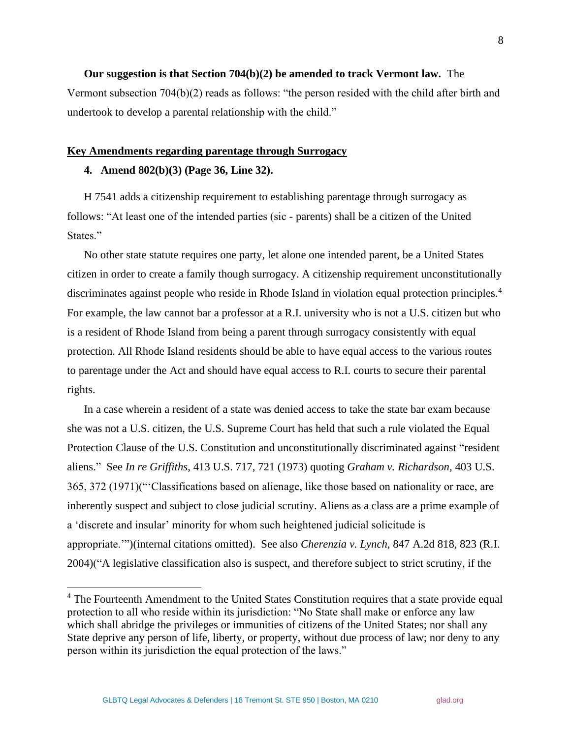**Our suggestion is that Section 704(b)(2) be amended to track Vermont law.** The Vermont subsection 704(b)(2) reads as follows: "the person resided with the child after birth and undertook to develop a parental relationship with the child."

#### **Key Amendments regarding parentage through Surrogacy**

## **4. Amend 802(b)(3) (Page 36, Line 32).**

H 7541 adds a citizenship requirement to establishing parentage through surrogacy as follows: "At least one of the intended parties (sic - parents) shall be a citizen of the United States."

No other state statute requires one party, let alone one intended parent, be a United States citizen in order to create a family though surrogacy. A citizenship requirement unconstitutionally discriminates against people who reside in Rhode Island in violation equal protection principles.<sup>4</sup> For example, the law cannot bar a professor at a R.I. university who is not a U.S. citizen but who is a resident of Rhode Island from being a parent through surrogacy consistently with equal protection. All Rhode Island residents should be able to have equal access to the various routes to parentage under the Act and should have equal access to R.I. courts to secure their parental rights.

In a case wherein a resident of a state was denied access to take the state bar exam because she was not a U.S. citizen, the U.S. Supreme Court has held that such a rule violated the Equal Protection Clause of the U.S. Constitution and unconstitutionally discriminated against "resident aliens." See *In re Griffiths*, 413 U.S. 717, 721 (1973) quoting *Graham v. Richardson*, 403 U.S. 365, 372 (1971)("'Classifications based on alienage, like those based on nationality or race, are inherently suspect and subject to close judicial scrutiny. Aliens as a class are a prime example of a 'discrete and insular' minority for whom such heightened judicial solicitude is appropriate.'")(internal citations omitted). See also *Cherenzia v. Lynch*, 847 A.2d 818, 823 (R.I. 2004)("A legislative classification also is suspect, and therefore subject to strict scrutiny, if the

8

<sup>&</sup>lt;sup>4</sup> The Fourteenth Amendment to the United States Constitution requires that a state provide equal protection to all who reside within its jurisdiction: "No State shall make or enforce any law which shall abridge the privileges or immunities of citizens of the United States; nor shall any State deprive any person of life, liberty, or property, without due process of law; nor deny to any person within its jurisdiction the equal protection of the laws."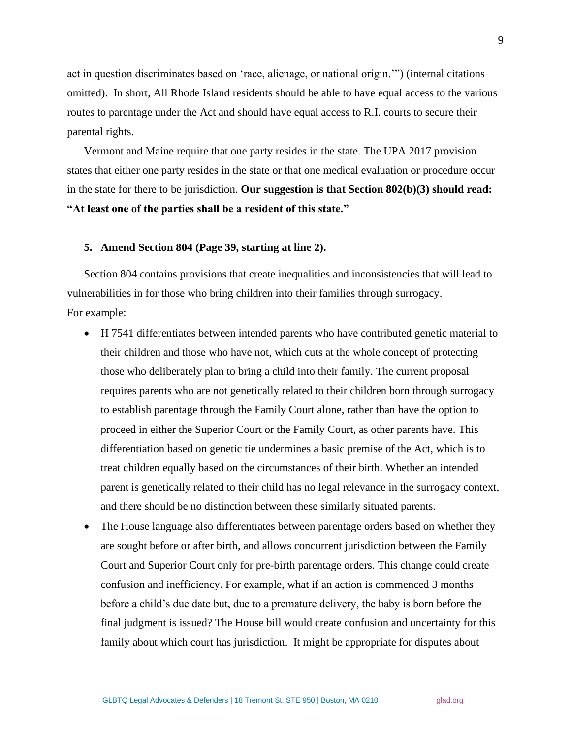act in question discriminates based on 'race, alienage, or national origin.'") (internal citations omitted). In short, All Rhode Island residents should be able to have equal access to the various routes to parentage under the Act and should have equal access to R.I. courts to secure their parental rights.

Vermont and Maine require that one party resides in the state. The UPA 2017 provision states that either one party resides in the state or that one medical evaluation or procedure occur in the state for there to be jurisdiction. **Our suggestion is that Section 802(b)(3) should read: "At least one of the parties shall be a resident of this state."** 

## **5. Amend Section 804 (Page 39, starting at line 2).**

Section 804 contains provisions that create inequalities and inconsistencies that will lead to vulnerabilities in for those who bring children into their families through surrogacy. For example:

- H 7541 differentiates between intended parents who have contributed genetic material to their children and those who have not, which cuts at the whole concept of protecting those who deliberately plan to bring a child into their family. The current proposal requires parents who are not genetically related to their children born through surrogacy to establish parentage through the Family Court alone, rather than have the option to proceed in either the Superior Court or the Family Court, as other parents have. This differentiation based on genetic tie undermines a basic premise of the Act, which is to treat children equally based on the circumstances of their birth. Whether an intended parent is genetically related to their child has no legal relevance in the surrogacy context, and there should be no distinction between these similarly situated parents.
- The House language also differentiates between parentage orders based on whether they are sought before or after birth, and allows concurrent jurisdiction between the Family Court and Superior Court only for pre-birth parentage orders. This change could create confusion and inefficiency. For example, what if an action is commenced 3 months before a child's due date but, due to a premature delivery, the baby is born before the final judgment is issued? The House bill would create confusion and uncertainty for this family about which court has jurisdiction. It might be appropriate for disputes about